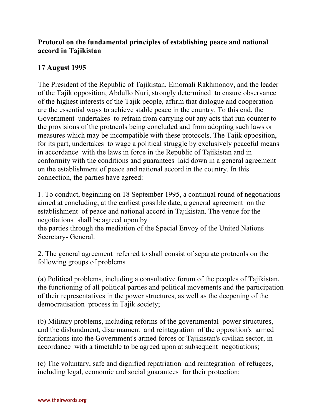## **Protocol on the fundamental principles of establishing peace and national accord in Tajikistan**

## **17 August 1995**

The President of the Republic of Tajikistan, Emomali Rakhmonov, and the leader of the Tajik opposition, Abdullo Nuri, strongly determined to ensure observance of the highest interests of the Tajik people, affirm that dialogue and cooperation are the essential ways to achieve stable peace in the country. To this end, the Government undertakes to refrain from carrying out any acts that run counter to the provisions of the protocols being concluded and from adopting such laws or measures which may be incompatible with these protocols. The Tajik opposition, for its part, undertakes to wage a political struggle by exclusively peaceful means in accordance with the laws in force in the Republic of Tajikistan and in conformity with the conditions and guarantees laid down in a general agreement on the establishment of peace and national accord in the country. In this connection, the parties have agreed:

1. To conduct, beginning on 18 September 1995, a continual round of negotiations aimed at concluding, at the earliest possible date, a general agreement on the establishment of peace and national accord in Tajikistan. The venue for the negotiations shall be agreed upon by

the parties through the mediation of the Special Envoy of the United Nations Secretary- General.

2. The general agreement referred to shall consist of separate protocols on the following groups of problems

(a) Political problems, including a consultative forum of the peoples of Tajikistan, the functioning of all political parties and political movements and the participation of their representatives in the power structures, as well as the deepening of the democratisation process in Tajik society;

(b) Military problems, including reforms of the governmental power structures, and the disbandment, disarmament and reintegration of the opposition's armed formations into the Government's armed forces or Tajikistan's civilian sector, in accordance with a timetable to be agreed upon at subsequent negotiations;

(c) The voluntary, safe and dignified repatriation and reintegration of refugees, including legal, economic and social guarantees for their protection;